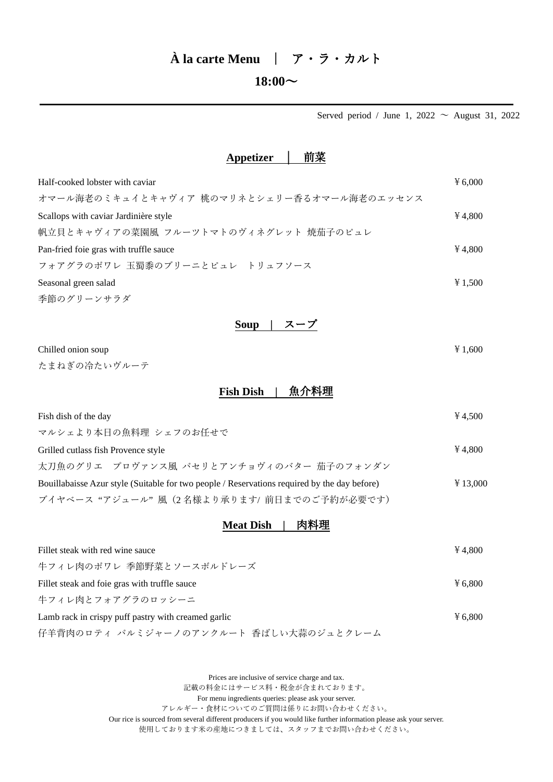# **À la carte Menu** | ア・ラ・カルト

### $18:00 \sim$

Served period / June 1, 2022  $\sim$  August 31, 2022

#### **Appetizer │** 前菜

| Half-cooked lobster with caviar            | 46,000  |
|--------------------------------------------|---------|
| オマール海老のミキュイとキャヴィア 桃のマリネとシェリー香るオマール海老のエッセンス |         |
| Scallops with caviar Jardinière style      | ¥4.800  |
| 帆立貝とキャヴィアの菜園風 フルーツトマトのヴィネグレット 焼茄子のピュレ      |         |
| Pan-fried foie gras with truffle sauce     | 4.800   |
| フォアグラのポワレ 玉蜀黍のブリーニとピュレ トリュフソース             |         |
| Seasonal green salad                       | ¥ 1.500 |
| 季節のグリーンサラダ                                 |         |

**Soup |** スープ

| Chilled onion soup | ¥ 1,600 |
|--------------------|---------|
| たまねぎの冷たいヴルーテ       |         |

## **Fish Dish |** 魚介料理

| Fish dish of the day                                                                         | 4.500     |
|----------------------------------------------------------------------------------------------|-----------|
| マルシェより本日の魚料理 シェフのお任せで                                                                        |           |
| Grilled cutlass fish Provence style                                                          | ¥4.800    |
| 太刀魚のグリエ プロヴァンス風 パセリとアンチョヴィのバター 茄子のフォンダン                                                      |           |
| Bouillabaisse Azur style (Suitable for two people / Reservations required by the day before) | $*13,000$ |
| ブイヤベース "アジュール"風 (2名様より承ります/ 前日までのご予約が必要です)                                                   |           |

### **Meat Dish |** 肉料理

| Fillet steak with red wine sauce                    | 4.800  |
|-----------------------------------------------------|--------|
| 牛フィレ肉のポワレ 季節野菜とソースボルドレーズ                            |        |
| Fillet steak and foie gras with truffle sauce       | 46.800 |
| 牛フィレ肉とフォアグラのロッシーニ                                   |        |
| Lamb rack in crispy puff pastry with creamed garlic | 46.800 |
| 仔羊背肉のロティ パルミジャーノのアンクルート 香ばしい大蒜のジュとクレーム              |        |

Prices are inclusive of service charge and tax.

記載の料金にはサービス料・税金が含まれております。

For menu ingredients queries: please ask your server.

アレルギー・食材についてのご質問は係りにお問い合わせください。

Our rice is sourced from several different producers if you would like further information please ask your server. 使用しております米の産地につきましては、スタッフまでお問い合わせください。